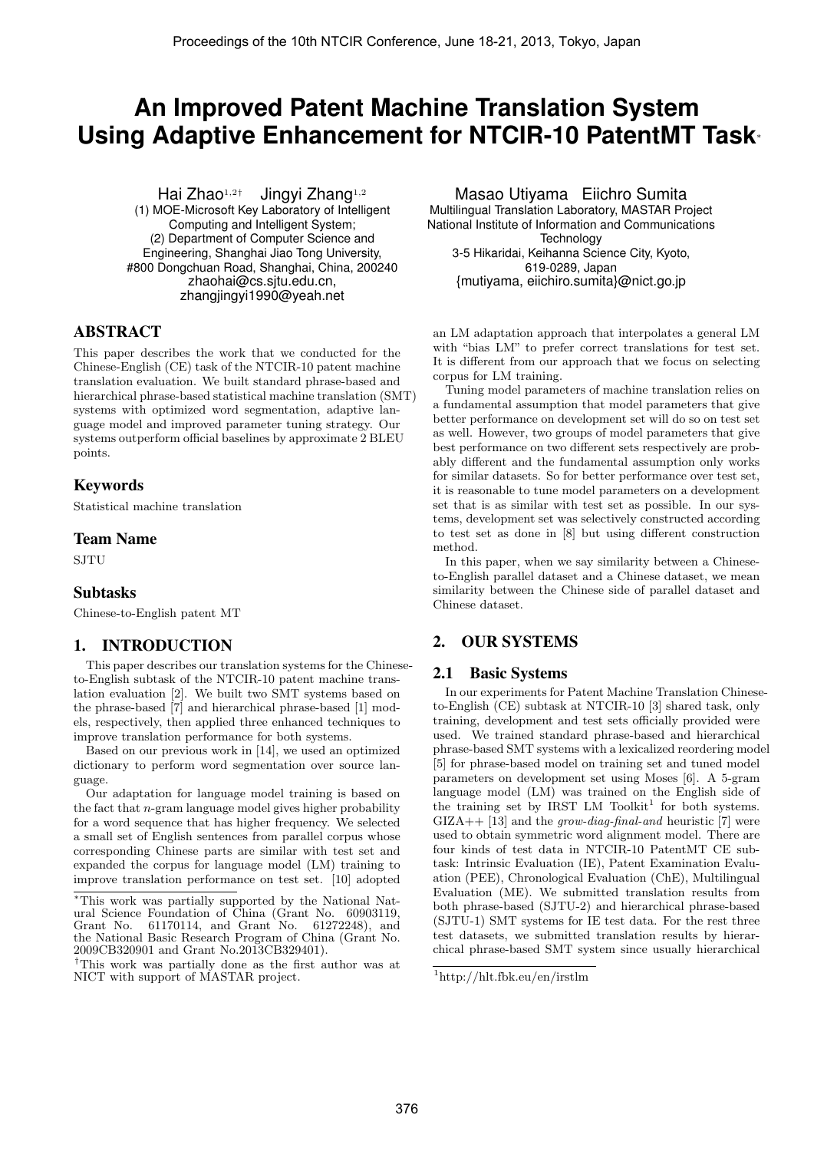# **An Improved Patent Machine Translation System Using Adaptive Enhancement for NTCIR-10 PatentMT Task**<sup>∗</sup>

Hai Zhao<sup>1,2†</sup> Jingyi Zhang<sup>1,2</sup>

(1) MOE-Microsoft Key Laboratory of Intelligent Computing and Intelligent System; (2) Department of Computer Science and Engineering, Shanghai Jiao Tong University, #800 Dongchuan Road, Shanghai, China, 200240 zhaohai@cs.sjtu.edu.cn, zhangjingyi1990@yeah.net

## ABSTRACT

This paper describes the work that we conducted for the Chinese-English (CE) task of the NTCIR-10 patent machine translation evaluation. We built standard phrase-based and hierarchical phrase-based statistical machine translation (SMT) systems with optimized word segmentation, adaptive language model and improved parameter tuning strategy. Our systems outperform official baselines by approximate 2 BLEU points.

## Keywords

Statistical machine translation

#### Team Name

**SJTU** 

## Subtasks

Chinese-to-English patent MT

# 1. INTRODUCTION

This paper describes our translation systems for the Chineseto-English subtask of the NTCIR-10 patent machine translation evaluation [2]. We built two SMT systems based on the phrase-based [7] and hierarchical phrase-based [1] models, respectively, then applied three enhanced techniques to improve translation performance for both systems.

Based on our previous work in [14], we used an optimized dictionary to perform word segmentation over source language.

Our adaptation for language model training is based on the fact that  $n$ -gram language model gives higher probability for a word sequence that has higher frequency. We selected a small set of English sentences from parallel corpus whose corresponding Chinese parts are similar with test set and expanded the corpus for language model (LM) training to improve translation performance on test set. [10] adopted

Masao Utiyama Eiichro Sumita Multilingual Translation Laboratory, MASTAR Project National Institute of Information and Communications **Technology** 3-5 Hikaridai, Keihanna Science City, Kyoto, 619-0289, Japan {mutiyama, eiichiro.sumita}@nict.go.jp

an LM adaptation approach that interpolates a general LM with "bias LM" to prefer correct translations for test set. It is different from our approach that we focus on selecting corpus for LM training.

Tuning model parameters of machine translation relies on a fundamental assumption that model parameters that give better performance on development set will do so on test set as well. However, two groups of model parameters that give best performance on two different sets respectively are probably different and the fundamental assumption only works for similar datasets. So for better performance over test set, it is reasonable to tune model parameters on a development set that is as similar with test set as possible. In our systems, development set was selectively constructed according to test set as done in [8] but using different construction method.

In this paper, when we say similarity between a Chineseto-English parallel dataset and a Chinese dataset, we mean similarity between the Chinese side of parallel dataset and Chinese dataset.

# 2. OUR SYSTEMS

# 2.1 Basic Systems

In our experiments for Patent Machine Translation Chineseto-English (CE) subtask at NTCIR-10 [3] shared task, only training, development and test sets officially provided were used. We trained standard phrase-based and hierarchical phrase-based SMT systems with a lexicalized reordering model [5] for phrase-based model on training set and tuned model parameters on development set using Moses [6]. A 5-gram language model (LM) was trained on the English side of the training set by IRST LM Toolkit<sup>1</sup> for both systems.  $GIZA++$  [13] and the *grow-diag-final-and* heuristic [7] were used to obtain symmetric word alignment model. There are four kinds of test data in NTCIR-10 PatentMT CE subtask: Intrinsic Evaluation (IE), Patent Examination Evaluation (PEE), Chronological Evaluation (ChE), Multilingual Evaluation (ME). We submitted translation results from both phrase-based (SJTU-2) and hierarchical phrase-based (SJTU-1) SMT systems for IE test data. For the rest three test datasets, we submitted translation results by hierarchical phrase-based SMT system since usually hierarchical

<sup>∗</sup>This work was partially supported by the National Natural Science Foundation of China (Grant No. 60903119, Grant No. 61170114, and Grant No. 61272248), and the National Basic Research Program of China (Grant No. 2009CB320901 and Grant No.2013CB329401).

<sup>†</sup>This work was partially done as the first author was at NICT with support of MASTAR project.

<sup>1</sup>http://hlt.fbk.eu/en/irstlm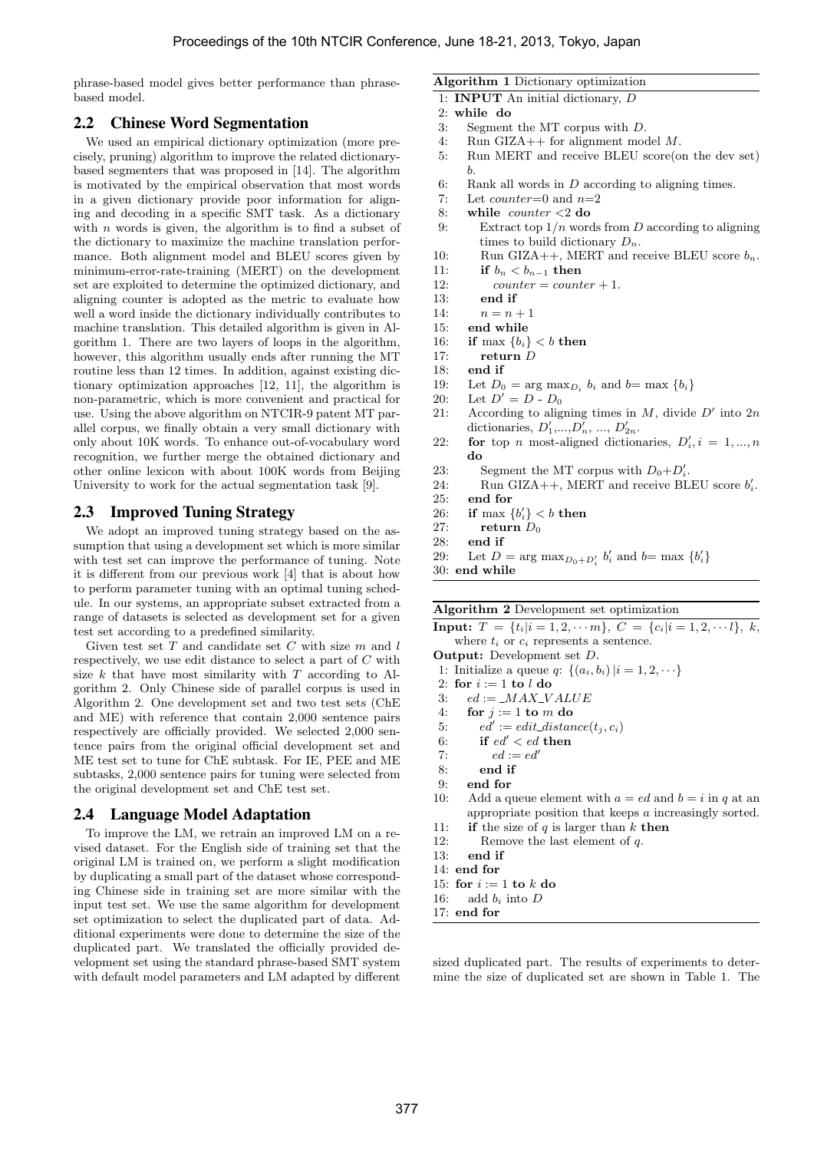phrase-based model gives better performance than phrasebased model.

#### 2.2 Chinese Word Segmentation

We used an empirical dictionary optimization (more precisely, pruning) algorithm to improve the related dictionarybased segmenters that was proposed in [14]. The algorithm is motivated by the empirical observation that most words in a given dictionary provide poor information for aligning and decoding in a specific SMT task. As a dictionary with  $n$  words is given, the algorithm is to find a subset of the dictionary to maximize the machine translation performance. Both alignment model and BLEU scores given by minimum-error-rate-training (MERT) on the development set are exploited to determine the optimized dictionary, and aligning counter is adopted as the metric to evaluate how well a word inside the dictionary individually contributes to machine translation. This detailed algorithm is given in Algorithm 1. There are two layers of loops in the algorithm, however, this algorithm usually ends after running the MT routine less than 12 times. In addition, against existing dictionary optimization approaches [12, 11], the algorithm is non-parametric, which is more convenient and practical for use. Using the above algorithm on NTCIR-9 patent MT parallel corpus, we finally obtain a very small dictionary with only about 10K words. To enhance out-of-vocabulary word recognition, we further merge the obtained dictionary and other online lexicon with about 100K words from Beijing University to work for the actual segmentation task [9].

## 2.3 Improved Tuning Strategy

We adopt an improved tuning strategy based on the assumption that using a development set which is more similar with test set can improve the performance of tuning. Note it is different from our previous work [4] that is about how to perform parameter tuning with an optimal tuning schedule. In our systems, an appropriate subset extracted from a range of datasets is selected as development set for a given test set according to a predefined similarity.

Given test set  $T$  and candidate set  $C$  with size  $m$  and  $l$ respectively, we use edit distance to select a part of C with size  $k$  that have most similarity with  $T$  according to Algorithm 2. Only Chinese side of parallel corpus is used in Algorithm 2. One development set and two test sets (ChE and ME) with reference that contain 2,000 sentence pairs respectively are officially provided. We selected 2,000 sentence pairs from the original official development set and ME test set to tune for ChE subtask. For IE, PEE and ME subtasks, 2,000 sentence pairs for tuning were selected from the original development set and ChE test set.

## 2.4 Language Model Adaptation

To improve the LM, we retrain an improved LM on a revised dataset. For the English side of training set that the original LM is trained on, we perform a slight modification by duplicating a small part of the dataset whose corresponding Chinese side in training set are more similar with the input test set. We use the same algorithm for development set optimization to select the duplicated part of data. Additional experiments were done to determine the size of the duplicated part. We translated the officially provided development set using the standard phrase-based SMT system with default model parameters and LM adapted by different

#### Algorithm 1 Dictionary optimization

- 1: INPUT An initial dictionary, D
- 2: while do
- 3: Segment the MT corpus with D.
- 4: Run GIZA++ for alignment model M.
- 5: Run MERT and receive BLEU score(on the dev set) b.
- 6: Rank all words in  $D$  according to aligning times.
- 7: Let  $counter=0$  and  $n=2$
- 8: while counter <2 do
- 9: Extract top  $1/n$  words from D according to aligning times to build dictionary  $D_n$ .
- 10: Run GIZA++, MERT and receive BLEU score  $b_n$ .
- 11: if  $b_n < b_{n-1}$  then
- 12: counter = counter + 1.
- 13: end if
- 14:  $n = n + 1$
- 15: end while
- 16: if max  ${b_i} < b$  then
- 17: return D
- 18: **end if**<br>19: Let  $D_0$
- 19: Let  $D_0 = \arg \max_{D_i} b_i$  and  $b = \max \{b_i\}$
- 20: Let  $D' = D D_0$
- 21: According to aligning times in  $M$ , divide  $D'$  into  $2n$ dictionaries,  $D'_1, ..., D'_n, ..., D'_{2n}$ .
- 22: **for** top *n* most-aligned dictionaries,  $D'_i, i = 1, ..., n$ do
- 23: Segment the MT corpus with  $D_0 + D'_i$ .
- 24: Run GIZA++, MERT and receive BLEU score  $b_i'$ .
- 25: end for
- 26: if max  ${b'_i} < b$  then
- 27: return  $D_0$
- 28: end if
- 29: Let  $D = \arg \max_{D_0 + D'_i} b'_i$  and  $b = \max \{b'_i\}$

30: end while

Algorithm 2 Development set optimization

```
Input: T = \{t_i | i = 1, 2, \cdots m\}, C = \{c_i | i = 1, 2, \cdots l\}, k,where t_i or c_i represents a sentence.
```
Output: Development set D.

1: Initialize a queue *q*:  $\{(a_i, b_i) | i = 1, 2, \dots\}$ 

- 2: for  $i := 1$  to  $l$  do
- 3:  $ed := \_MAX\_VALUE$
- 4: for  $j := 1$  to m do
- 5:  $ed' := edit\_distance(t_j, c_i)$
- 6: if  $ed' < ed$  then
- 7:  $ed := ed'$
- 8: end if
- 9: end for
- 10: Add a queue element with  $a = ed$  and  $b = i$  in q at an appropriate position that keeps a increasingly sorted.
- 11: if the size of  $q$  is larger than  $k$  then 12: Remove the last element of q.
- 
- 13: end if 14: end for
- 
- 15: for  $i := 1$  to  $k$  do 16: add  $b_i$  into D
- 17: end for

sized duplicated part. The results of experiments to determine the size of duplicated set are shown in Table 1. The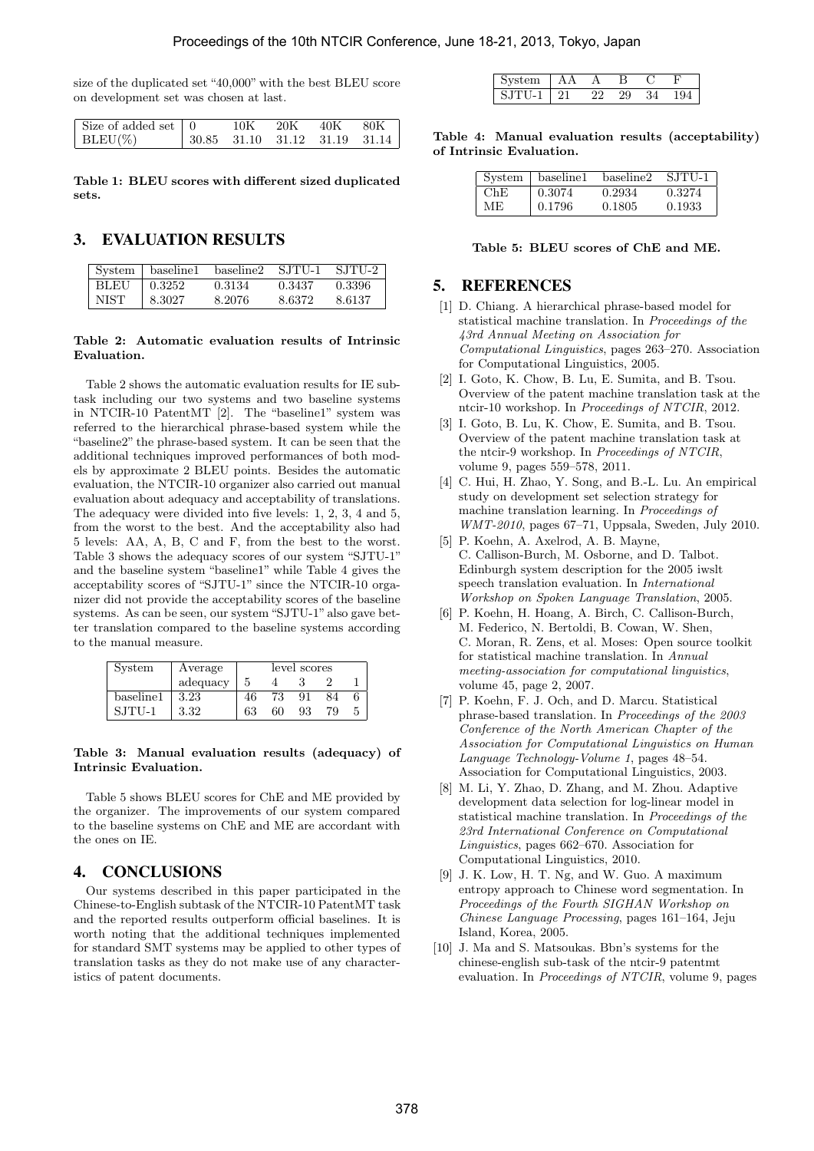size of the duplicated set "40,000" with the best BLEU score on development set was chosen at last.

| Size of added set   0 | 10K | 20K | - 40K - | $80\mathrm{K}$                                |
|-----------------------|-----|-----|---------|-----------------------------------------------|
| $ $ BLEU(%)           |     |     |         | $\vert$ 30.85 31.10 31.12 31.19 31.14 $\vert$ |

Table 1: BLEU scores with different sized duplicated sets.

# 3. EVALUATION RESULTS

| System      | baseline1 | baseline2 | SJTU-1 | SJTU-2 |
|-------------|-----------|-----------|--------|--------|
| <b>BLEU</b> | 0.3252    | 0.3134    | 0.3437 | 0.3396 |
| NIST        | 8.3027    | 8.2076    | 8.6372 | 8.6137 |

#### Table 2: Automatic evaluation results of Intrinsic Evaluation.

Table 2 shows the automatic evaluation results for IE subtask including our two systems and two baseline systems in NTCIR-10 PatentMT [2]. The "baseline1" system was referred to the hierarchical phrase-based system while the "baseline2" the phrase-based system. It can be seen that the additional techniques improved performances of both models by approximate 2 BLEU points. Besides the automatic evaluation, the NTCIR-10 organizer also carried out manual evaluation about adequacy and acceptability of translations. The adequacy were divided into five levels: 1, 2, 3, 4 and 5, from the worst to the best. And the acceptability also had 5 levels: AA, A, B, C and F, from the best to the worst. Table 3 shows the adequacy scores of our system "SJTU-1" and the baseline system "baseline1" while Table 4 gives the acceptability scores of "SJTU-1" since the NTCIR-10 organizer did not provide the acceptability scores of the baseline systems. As can be seen, our system "SJTU-1" also gave better translation compared to the baseline systems according to the manual measure.

| System    | Average  | level scores |    |    |    |   |
|-----------|----------|--------------|----|----|----|---|
|           | adequacy | 5            |    |    |    |   |
| baseline1 | 3.23     | 46           | 73 |    | 84 |   |
| $SJTIJ-1$ | 3.32     | 63           | 60 | 93 | 79 | 5 |

#### Table 3: Manual evaluation results (adequacy) of Intrinsic Evaluation.

Table 5 shows BLEU scores for ChE and ME provided by the organizer. The improvements of our system compared to the baseline systems on ChE and ME are accordant with the ones on IE.

# 4. CONCLUSIONS

Our systems described in this paper participated in the Chinese-to-English subtask of the NTCIR-10 PatentMT task and the reported results outperform official baselines. It is worth noting that the additional techniques implemented for standard SMT systems may be applied to other types of translation tasks as they do not make use of any characteristics of patent documents.

| ---  |  |  |  |
|------|--|--|--|
| 91 P |  |  |  |

Table 4: Manual evaluation results (acceptability) of Intrinsic Evaluation.

| System | baseline1 | baseline2 | SJTU-1 |
|--------|-----------|-----------|--------|
| $Ch$ F | 0.3074    | 0.2934    | 0.3274 |
| ME.    | 0.1796    | 0.1805    | 0.1933 |

#### Table 5: BLEU scores of ChE and ME.

## 5. REFERENCES

- [1] D. Chiang. A hierarchical phrase-based model for statistical machine translation. In Proceedings of the 43rd Annual Meeting on Association for Computational Linguistics, pages 263–270. Association for Computational Linguistics, 2005.
- [2] I. Goto, K. Chow, B. Lu, E. Sumita, and B. Tsou. Overview of the patent machine translation task at the ntcir-10 workshop. In Proceedings of NTCIR, 2012.
- [3] I. Goto, B. Lu, K. Chow, E. Sumita, and B. Tsou. Overview of the patent machine translation task at the ntcir-9 workshop. In Proceedings of NTCIR, volume 9, pages 559–578, 2011.
- [4] C. Hui, H. Zhao, Y. Song, and B.-L. Lu. An empirical study on development set selection strategy for machine translation learning. In Proceedings of WMT-2010, pages 67–71, Uppsala, Sweden, July 2010.
- [5] P. Koehn, A. Axelrod, A. B. Mayne, C. Callison-Burch, M. Osborne, and D. Talbot. Edinburgh system description for the 2005 iwslt speech translation evaluation. In International Workshop on Spoken Language Translation, 2005.
- [6] P. Koehn, H. Hoang, A. Birch, C. Callison-Burch, M. Federico, N. Bertoldi, B. Cowan, W. Shen, C. Moran, R. Zens, et al. Moses: Open source toolkit for statistical machine translation. In Annual meeting-association for computational linguistics, volume 45, page 2, 2007.
- [7] P. Koehn, F. J. Och, and D. Marcu. Statistical phrase-based translation. In Proceedings of the 2003 Conference of the North American Chapter of the Association for Computational Linguistics on Human Language Technology-Volume 1, pages 48–54. Association for Computational Linguistics, 2003.
- [8] M. Li, Y. Zhao, D. Zhang, and M. Zhou. Adaptive development data selection for log-linear model in statistical machine translation. In Proceedings of the 23rd International Conference on Computational Linguistics, pages 662–670. Association for Computational Linguistics, 2010.
- [9] J. K. Low, H. T. Ng, and W. Guo. A maximum entropy approach to Chinese word segmentation. In Proceedings of the Fourth SIGHAN Workshop on Chinese Language Processing, pages 161–164, Jeju Island, Korea, 2005.
- [10] J. Ma and S. Matsoukas. Bbn's systems for the chinese-english sub-task of the ntcir-9 patentmt evaluation. In Proceedings of NTCIR, volume 9, pages